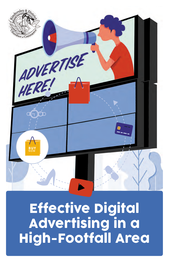

**Effective Digital** Advertising in a High-Footfall Area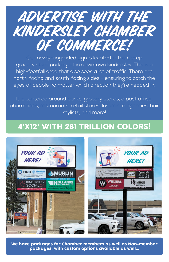

Our newly-upgraded sign is located in the Co-op grocery store parking lot in downtown Kindersley. This is a high-footfall area that also sees a lot of traffic. There are north-facing and south-facing sides - ensuring to catch the eyes of people no matter which direction they're headed in.

It is centered around banks, grocery stores, a post office, pharmacies, restaurants, retail stores, Insurance agencies, hair stylists, and more!

# 4'X12' WITH 281 TRILLION COLORS!



We have packages for Chamber members as well as Non-member packages, with custom options available as well...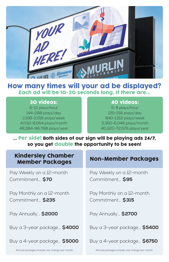

## How many times will your ad be displayed? Each ad will be 10-20 seconds long. If there are...

### 30 videos:

6-12 plays/hour 144-288 plays/day 1,008-2,016 plays/week 4,032-8,064 plays/month 48,384-96,768 plays/year

## 40 videos:

5-9 plays/hour 120-216 plays/day 840-1,152 plays/week 3,360-6,048 plays/month 40,320-72,576 plays/year

... Per side! Both sides of our sign will be playing ads 24/7, so you get double the opportunity to be seen!

#### Kindersley Chamber Member Packages

Pay Weekly on a 12-month Commitment... **\$70**

Pay Monthly on a 12-month Commitment... **\$235**

Pay Annually... **\$2000**

Buy a 3-year package... **\$4000**

Buy a 4-year package... **\$5000**

#### Non-Member Packages

Pay Weekly on a 12-month Commitment... **\$95**

Pay Monthly on a 12-month Commitment... **\$315**

Pay Annually... **\$2700**

Buy a 3-year package... **\$5400**

Buy a 4-year package... **\$6750**

Annual packages include one change per month Annual packages include one change per month